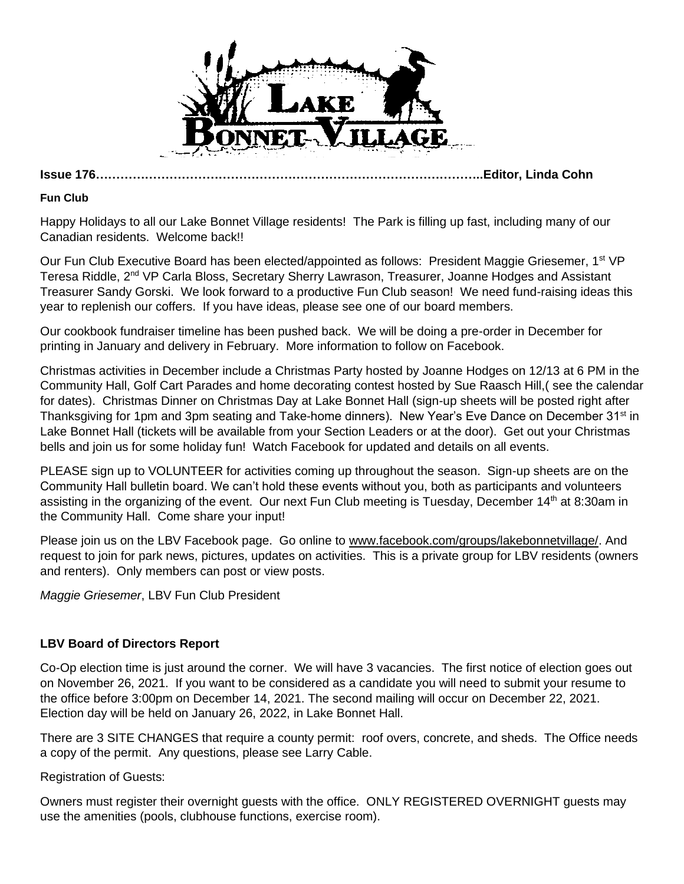

**Issue 176…………………………………………………………………………………..Editor, Linda Cohn**

#### **Fun Club**

Happy Holidays to all our Lake Bonnet Village residents! The Park is filling up fast, including many of our Canadian residents. Welcome back!!

Our Fun Club Executive Board has been elected/appointed as follows: President Maggie Griesemer, 1<sup>st</sup> VP Teresa Riddle, 2<sup>nd</sup> VP Carla Bloss, Secretary Sherry Lawrason, Treasurer, Joanne Hodges and Assistant Treasurer Sandy Gorski. We look forward to a productive Fun Club season! We need fund-raising ideas this year to replenish our coffers. If you have ideas, please see one of our board members.

Our cookbook fundraiser timeline has been pushed back. We will be doing a pre-order in December for printing in January and delivery in February. More information to follow on Facebook.

Christmas activities in December include a Christmas Party hosted by Joanne Hodges on 12/13 at 6 PM in the Community Hall, Golf Cart Parades and home decorating contest hosted by Sue Raasch Hill,( see the calendar for dates). Christmas Dinner on Christmas Day at Lake Bonnet Hall (sign-up sheets will be posted right after Thanksgiving for 1pm and 3pm seating and Take-home dinners). New Year's Eve Dance on December 31<sup>st</sup> in Lake Bonnet Hall (tickets will be available from your Section Leaders or at the door). Get out your Christmas bells and join us for some holiday fun! Watch Facebook for updated and details on all events.

PLEASE sign up to VOLUNTEER for activities coming up throughout the season. Sign-up sheets are on the Community Hall bulletin board. We can't hold these events without you, both as participants and volunteers assisting in the organizing of the event. Our next Fun Club meeting is Tuesday, December 14th at 8:30am in the Community Hall. Come share your input!

Please join us on the LBV Facebook page. Go online to [www.facebook.com/groups/lakebonnetvillage/.](http://www.facebook.com/groups/lakebonnetvillage/) And request to join for park news, pictures, updates on activities. This is a private group for LBV residents (owners and renters). Only members can post or view posts.

*Maggie Griesemer*, LBV Fun Club President

# **LBV Board of Directors Report**

Co-Op election time is just around the corner. We will have 3 vacancies. The first notice of election goes out on November 26, 2021. If you want to be considered as a candidate you will need to submit your resume to the office before 3:00pm on December 14, 2021. The second mailing will occur on December 22, 2021. Election day will be held on January 26, 2022, in Lake Bonnet Hall.

There are 3 SITE CHANGES that require a county permit: roof overs, concrete, and sheds. The Office needs a copy of the permit. Any questions, please see Larry Cable.

Registration of Guests:

Owners must register their overnight guests with the office. ONLY REGISTERED OVERNIGHT guests may use the amenities (pools, clubhouse functions, exercise room).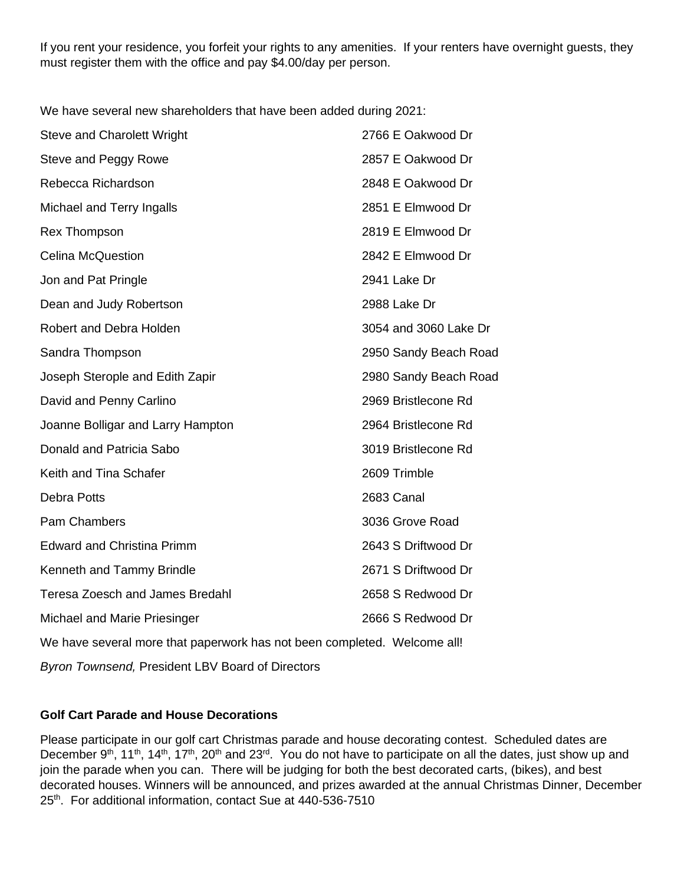If you rent your residence, you forfeit your rights to any amenities. If your renters have overnight guests, they must register them with the office and pay \$4.00/day per person.

We have several new shareholders that have been added during 2021:

| <b>Steve and Charolett Wright</b>      | 2766 E Oakwood Dr     |
|----------------------------------------|-----------------------|
| Steve and Peggy Rowe                   | 2857 E Oakwood Dr     |
| Rebecca Richardson                     | 2848 E Oakwood Dr     |
| Michael and Terry Ingalls              | 2851 E Elmwood Dr     |
| <b>Rex Thompson</b>                    | 2819 E Elmwood Dr     |
| <b>Celina McQuestion</b>               | 2842 E Elmwood Dr     |
| Jon and Pat Pringle                    | 2941 Lake Dr          |
| Dean and Judy Robertson                | 2988 Lake Dr          |
| Robert and Debra Holden                | 3054 and 3060 Lake Dr |
| Sandra Thompson                        | 2950 Sandy Beach Road |
| Joseph Sterople and Edith Zapir        | 2980 Sandy Beach Road |
| David and Penny Carlino                | 2969 Bristlecone Rd   |
| Joanne Bolligar and Larry Hampton      | 2964 Bristlecone Rd   |
| Donald and Patricia Sabo               | 3019 Bristlecone Rd   |
| Keith and Tina Schafer                 | 2609 Trimble          |
| <b>Debra Potts</b>                     | 2683 Canal            |
| <b>Pam Chambers</b>                    | 3036 Grove Road       |
| <b>Edward and Christina Primm</b>      | 2643 S Driftwood Dr   |
| Kenneth and Tammy Brindle              | 2671 S Driftwood Dr   |
| <b>Teresa Zoesch and James Bredahl</b> | 2658 S Redwood Dr     |
| Michael and Marie Priesinger           | 2666 S Redwood Dr     |
|                                        |                       |

We have several more that paperwork has not been completed. Welcome all!

*Byron Townsend,* President LBV Board of Directors

# **Golf Cart Parade and House Decorations**

Please participate in our golf cart Christmas parade and house decorating contest. Scheduled dates are December 9<sup>th</sup>, 11<sup>th</sup>, 14<sup>th</sup>, 17<sup>th</sup>, 20<sup>th</sup> and 23<sup>rd</sup>. You do not have to participate on all the dates, just show up and join the parade when you can. There will be judging for both the best decorated carts, (bikes), and best decorated houses. Winners will be announced, and prizes awarded at the annual Christmas Dinner, December 25<sup>th</sup>. For additional information, contact Sue at 440-536-7510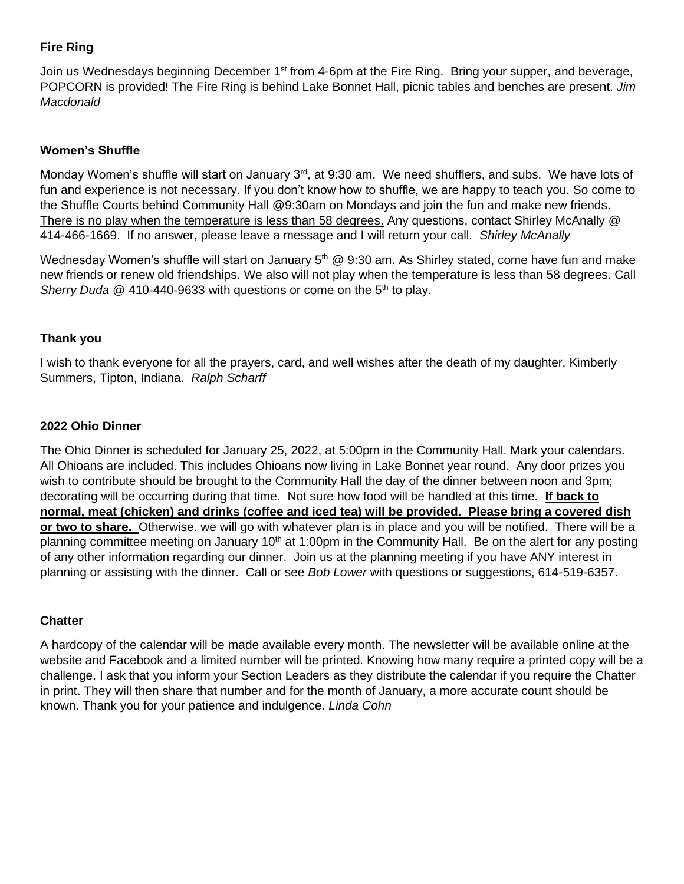## **Fire Ring**

Join us Wednesdays beginning December 1<sup>st</sup> from 4-6pm at the Fire Ring. Bring your supper, and beverage, POPCORN is provided! The Fire Ring is behind Lake Bonnet Hall, picnic tables and benches are present. *Jim Macdonald*

## **Women's Shuffle**

Monday Women's shuffle will start on January 3<sup>rd</sup>, at 9:30 am. We need shufflers, and subs. We have lots of fun and experience is not necessary. If you don't know how to shuffle, we are happy to teach you. So come to the Shuffle Courts behind Community Hall @9:30am on Mondays and join the fun and make new friends. There is no play when the temperature is less than 58 degrees. Any questions, contact Shirley McAnally @ 414-466-1669. If no answer, please leave a message and I will return your call. *Shirley McAnally*

Wednesday Women's shuffle will start on January  $5<sup>th</sup>$  @ 9:30 am. As Shirley stated, come have fun and make new friends or renew old friendships. We also will not play when the temperature is less than 58 degrees. Call *Sherry Duda* @ 410-440-9633 with questions or come on the 5<sup>th</sup> to play.

### **Thank you**

I wish to thank everyone for all the prayers, card, and well wishes after the death of my daughter, Kimberly Summers, Tipton, Indiana. *Ralph Scharff*

### **2022 Ohio Dinner**

The Ohio Dinner is scheduled for January 25, 2022, at 5:00pm in the Community Hall. Mark your calendars. All Ohioans are included. This includes Ohioans now living in Lake Bonnet year round. Any door prizes you wish to contribute should be brought to the Community Hall the day of the dinner between noon and 3pm; decorating will be occurring during that time. Not sure how food will be handled at this time. **If back to normal, meat (chicken) and drinks (coffee and iced tea) will be provided. Please bring a covered dish or two to share.** Otherwise. we will go with whatever plan is in place and you will be notified. There will be a planning committee meeting on January 10<sup>th</sup> at 1:00pm in the Community Hall. Be on the alert for any posting of any other information regarding our dinner. Join us at the planning meeting if you have ANY interest in planning or assisting with the dinner. Call or see *Bob Lower* with questions or suggestions, 614-519-6357.

## **Chatter**

A hardcopy of the calendar will be made available every month. The newsletter will be available online at the website and Facebook and a limited number will be printed. Knowing how many require a printed copy will be a challenge. I ask that you inform your Section Leaders as they distribute the calendar if you require the Chatter in print. They will then share that number and for the month of January, a more accurate count should be known. Thank you for your patience and indulgence. *Linda Cohn*